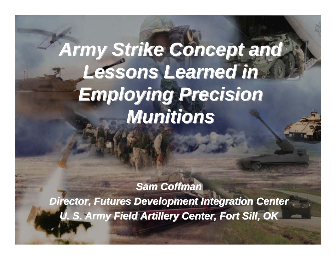## *Army Strike Concept and Army Strike Concept and Lessons Learned in Lessons Learned in Employing Precision Employing Precision Munitions Munitions*

#### *Sam Coffman Sam Coffman*

*Director, Futures Development Integration Center U. S. Army Field Artillery Center, Fort Sill, OK U. S. Army Field Artillery Center, Fort Sill, OK*

*Create the Thunder*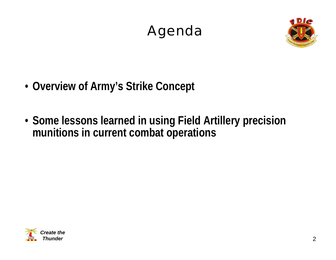### *Agenda*



- **Overview of Army's Strike Concept**
- **Some lessons learned in using Field Artillery precision munitions in current combat operations**

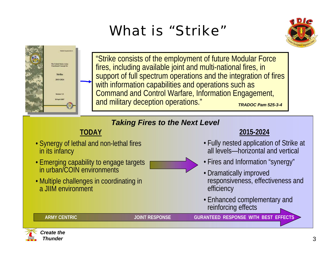### *What is "Strike"*





"Strike consists of the employment of future Modular Force fires, including available joint and multi-national fires, in support of full spectrum operations and the integration of fires with information capabilities and operations such as Command and Control Warfare, Information Engagement, and military deception operations." *TRADOC Pam 525-3-4* 

#### *Taking Fires to the Next Level*

#### **TODAY**

- Synergy of lethal and non-lethal fires in its infancy
- Emerging capability to engage targets in urban/COIN environments
- Multiple challenges in coordinating in a JIIM environment

#### **2015-2024**

- Fully nested application of Strike at all levels—horizontal and vertical
- Fires and Information "synergy"
- Dramatically improved responsiveness, effectiveness and efficiency
- Enhanced complementary and reinforcing effects

**GURANTEED RESPONSE WITH BEST EFFECTS**

**ARMY CENTRIC**

**JOINT RESPONSE**

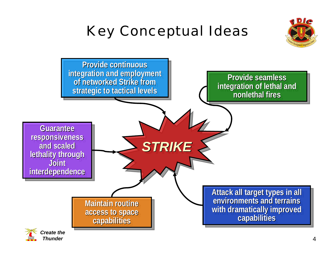## *Key Conceptual Ideas*



*Thunder*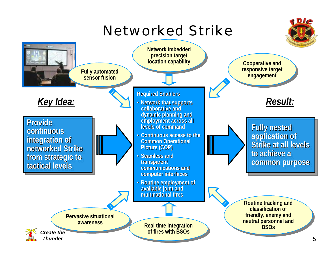### *Networked Strike*



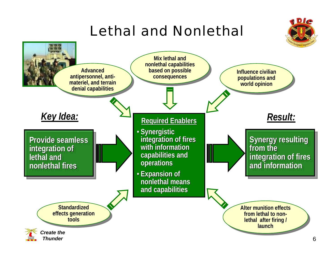### *Lethal and Nonlethal*

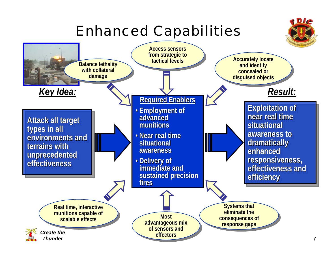#### *Enhanced Capabilities*

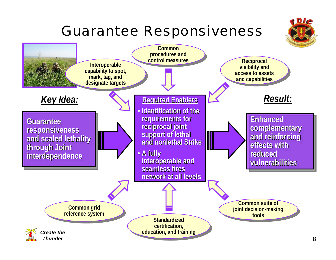#### *Guarantee Responsiveness*



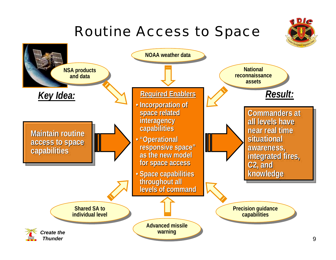#### *Routine Access to Space*

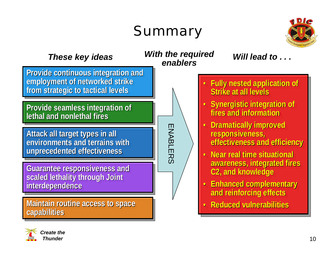#### *Summary*



*These key ideas With the required enablers*

*Will lead to . . .*

**Provide continuous integration and Provide continuous integration and Provide continuous integration and employment of networked strike from strategic to tactical levels from strategic to tactical levels from strategic to tactical levels** 

**Provide seamless integration of Provide seamless integration of Provide seamless integration of lethal and nonlethal fires**  $\blacksquare$ 

**Attack all target types in all Attack all target types in all Attack all target types in all environments and terrains with environments and terrains with environments and terrains with unprecedented effectiveness unprecedented effectiveness unprecedented effectiveness** 

Guarantee responsiveness and **scaled lethality through Joint scaled lethality through Joint scaled lethality through Joint interdependence interdependence interdependence**

**Maintain routine access to space capabilities capabilities capabilities** 

ENABLERS **ENABLERS**  • **Fully nested application of Fully nested application of Fully nested application of Strike at all levels** •

- **Synergistic integration of fires and information fires and information fires and information** •
- **EXAMPLE 20 Pramatically improved by responsiveness, responsiveness, responsiveness, effectiveness and efficiency effectiveness and efficiency effectiveness and efficiency** •
- **Near real time situational awareness, integrated fires awareness, integrated fires awareness, integrated fires C2, and knowledge C2, and knowledge C2, and knowledge** •
- **Enhanced complementary <b>Enhanced complementary and reinforcing effects and reinforcing effects and reinforcing effects** •
- **Reduced vulnerabilities**  $\bullet$

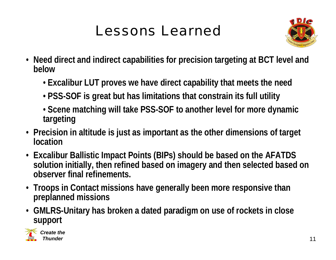## *Lessons Learned*



- **Need direct and indirect capabilities for precision targeting at BCT level and below**
	- **Excalibur LUT proves we have direct capability that meets the need**
	- **PSS-SOF is great but has limitations that constrain its full utility**
	- **Scene matching will take PSS-SOF to another level for more dynamic targeting**
- **Precision in altitude is just as important as the other dimensions of target location**
- **Excalibur Ballistic Impact Points (BIPs) should be based on the AFATDS solution initially, then refined based on imagery and then selected based on observer final refinements.**
- **Troops in Contact missions have generally been more responsive than preplanned missions**
- **GMLRS-Unitary has broken a dated paradigm on use of rockets in close support**

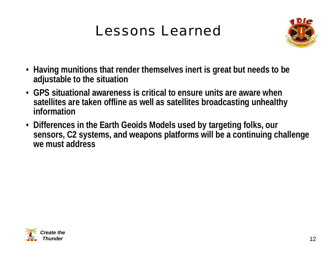#### *Lessons Learned*



- **Having munitions that render themselves inert is great but needs to be adjustable to the situation**
- **GPS situational awareness is critical to ensure units are aware when satellites are taken offline as well as satellites broadcasting unhealthy information**
- **Differences in the Earth Geoids Models used by targeting folks, our sensors, C2 systems, and weapons platforms will be a continuing challenge we must address**

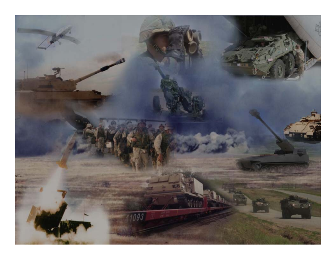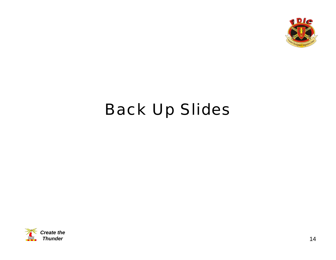

## *Back Up Slides*